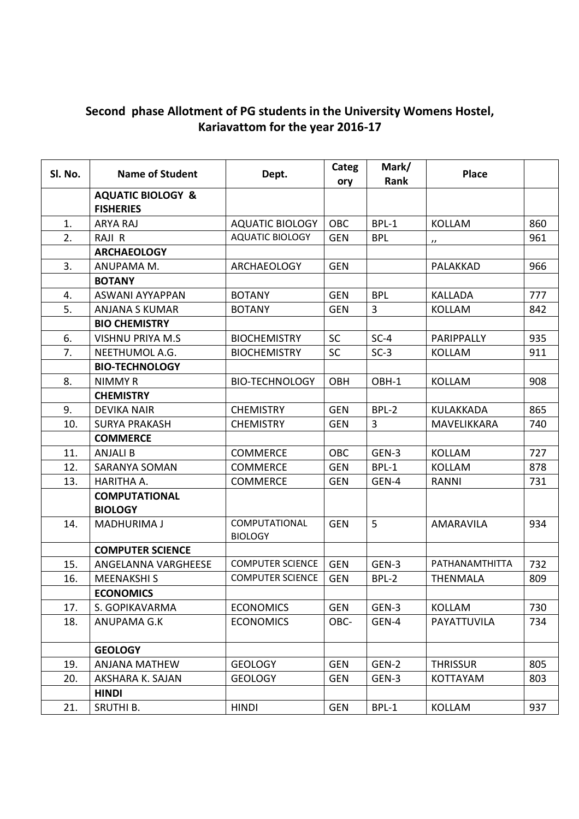## Second phase Allotment of PG students in the University Womens Hostel, Kariavattom for the year 2016-17

| Sl. No. | <b>Name of Student</b>       | Dept.                           | Categ<br>ory | Mark/<br>Rank | <b>Place</b>      |     |
|---------|------------------------------|---------------------------------|--------------|---------------|-------------------|-----|
|         | <b>AQUATIC BIOLOGY &amp;</b> |                                 |              |               |                   |     |
|         | <b>FISHERIES</b>             |                                 |              |               |                   |     |
| 1.      | ARYA RAJ                     | <b>AQUATIC BIOLOGY</b>          | OBC          | BPL-1         | <b>KOLLAM</b>     | 860 |
| 2.      | RAJI R                       | <b>AQUATIC BIOLOGY</b>          | <b>GEN</b>   | <b>BPL</b>    | $^{\prime\prime}$ | 961 |
|         | <b>ARCHAEOLOGY</b>           |                                 |              |               |                   |     |
| 3.      | ANUPAMA M.                   | <b>ARCHAEOLOGY</b>              | <b>GEN</b>   |               | PALAKKAD          | 966 |
|         | <b>BOTANY</b>                |                                 |              |               |                   |     |
| 4.      | ASWANI AYYAPPAN              | <b>BOTANY</b>                   | <b>GEN</b>   | <b>BPL</b>    | <b>KALLADA</b>    | 777 |
| 5.      | <b>ANJANA S KUMAR</b>        | <b>BOTANY</b>                   | <b>GEN</b>   | 3             | <b>KOLLAM</b>     | 842 |
|         | <b>BIO CHEMISTRY</b>         |                                 |              |               |                   |     |
| 6.      | <b>VISHNU PRIYA M.S</b>      | <b>BIOCHEMISTRY</b>             | <b>SC</b>    | $SC-4$        | PARIPPALLY        | 935 |
| 7.      | NEETHUMOL A.G.               | <b>BIOCHEMISTRY</b>             | SC           | $SC-3$        | <b>KOLLAM</b>     | 911 |
|         | <b>BIO-TECHNOLOGY</b>        |                                 |              |               |                   |     |
| 8.      | NIMMY R                      | <b>BIO-TECHNOLOGY</b>           | OBH          | OBH-1         | <b>KOLLAM</b>     | 908 |
|         | <b>CHEMISTRY</b>             |                                 |              |               |                   |     |
| 9.      | <b>DEVIKA NAIR</b>           | <b>CHEMISTRY</b>                | <b>GEN</b>   | BPL-2         | KULAKKADA         | 865 |
| 10.     | <b>SURYA PRAKASH</b>         | <b>CHEMISTRY</b>                | <b>GEN</b>   | 3             | MAVELIKKARA       | 740 |
|         | <b>COMMERCE</b>              |                                 |              |               |                   |     |
| 11.     | <b>ANJALI B</b>              | <b>COMMERCE</b>                 | OBC          | GEN-3         | <b>KOLLAM</b>     | 727 |
| 12.     | <b>SARANYA SOMAN</b>         | <b>COMMERCE</b>                 | <b>GEN</b>   | BPL-1         | <b>KOLLAM</b>     | 878 |
| 13.     | HARITHA A.                   | <b>COMMERCE</b>                 | <b>GEN</b>   | GEN-4         | RANNI             | 731 |
|         | <b>COMPUTATIONAL</b>         |                                 |              |               |                   |     |
|         | <b>BIOLOGY</b>               |                                 |              |               |                   |     |
| 14.     | <b>MADHURIMA J</b>           | COMPUTATIONAL<br><b>BIOLOGY</b> | <b>GEN</b>   | 5             | AMARAVILA         | 934 |
|         | <b>COMPUTER SCIENCE</b>      |                                 |              |               |                   |     |
| 15.     | ANGELANNA VARGHEESE          | <b>COMPUTER SCIENCE</b>         | <b>GEN</b>   | GEN-3         | PATHANAMTHITTA    | 732 |
| 16.     | <b>MEENAKSHI S</b>           | <b>COMPUTER SCIENCE</b>         | <b>GEN</b>   | BPL-2         | <b>THENMALA</b>   | 809 |
|         | <b>ECONOMICS</b>             |                                 |              |               |                   |     |
| 17.     | S. GOPIKAVARMA               | <b>ECONOMICS</b>                | <b>GEN</b>   | GEN-3         | KOLLAM            | 730 |
| 18.     | ANUPAMA G.K                  | <b>ECONOMICS</b>                | OBC-         | GEN-4         | PAYATTUVILA       | 734 |
|         | <b>GEOLOGY</b>               |                                 |              |               |                   |     |
| 19.     | <b>ANJANA MATHEW</b>         | <b>GEOLOGY</b>                  | <b>GEN</b>   | GEN-2         | <b>THRISSUR</b>   | 805 |
| 20.     | AKSHARA K. SAJAN             | <b>GEOLOGY</b>                  | <b>GEN</b>   | GEN-3         | <b>KOTTAYAM</b>   | 803 |
|         | <b>HINDI</b>                 |                                 |              |               |                   |     |
| 21.     | SRUTHI B.                    | <b>HINDI</b>                    | <b>GEN</b>   | BPL-1         | <b>KOLLAM</b>     | 937 |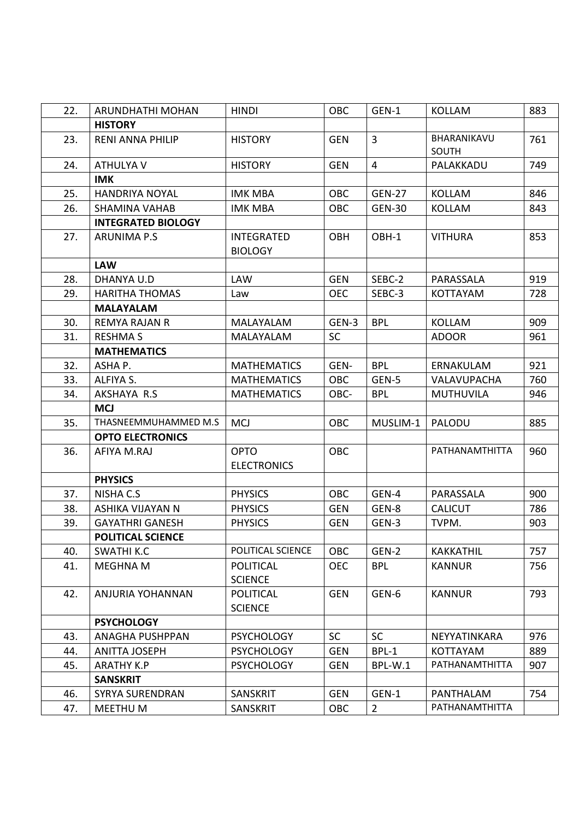| 22. | ARUNDHATHI MOHAN          | <b>HINDI</b>                        | OBC        | GEN-1          | <b>KOLLAM</b>        | 883 |
|-----|---------------------------|-------------------------------------|------------|----------------|----------------------|-----|
|     | <b>HISTORY</b>            |                                     |            |                |                      |     |
| 23. | <b>RENI ANNA PHILIP</b>   | <b>HISTORY</b>                      | <b>GEN</b> | $\overline{3}$ | BHARANIKAVU<br>SOUTH | 761 |
| 24. | <b>ATHULYA V</b>          | <b>HISTORY</b>                      | <b>GEN</b> | $\overline{4}$ | PALAKKADU            | 749 |
|     | <b>IMK</b>                |                                     |            |                |                      |     |
| 25. | <b>HANDRIYA NOYAL</b>     | <b>IMK MBA</b>                      | <b>OBC</b> | <b>GEN-27</b>  | <b>KOLLAM</b>        | 846 |
| 26. | SHAMINA VAHAB             | <b>IMK MBA</b>                      | <b>OBC</b> | <b>GEN-30</b>  | <b>KOLLAM</b>        | 843 |
|     | <b>INTEGRATED BIOLOGY</b> |                                     |            |                |                      |     |
| 27. | <b>ARUNIMA P.S</b>        | <b>INTEGRATED</b><br><b>BIOLOGY</b> | OBH        | OBH-1          | <b>VITHURA</b>       | 853 |
|     | <b>LAW</b>                |                                     |            |                |                      |     |
| 28. | DHANYA U.D                | <b>LAW</b>                          | <b>GEN</b> | SEBC-2         | PARASSALA            | 919 |
| 29. | <b>HARITHA THOMAS</b>     | Law                                 | <b>OEC</b> | SEBC-3         | <b>KOTTAYAM</b>      | 728 |
|     | <b>MALAYALAM</b>          |                                     |            |                |                      |     |
| 30. | <b>REMYA RAJAN R</b>      | MALAYALAM                           | GEN-3      | <b>BPL</b>     | <b>KOLLAM</b>        | 909 |
| 31. | <b>RESHMA S</b>           | <b>MALAYALAM</b>                    | <b>SC</b>  |                | <b>ADOOR</b>         | 961 |
|     | <b>MATHEMATICS</b>        |                                     |            |                |                      |     |
| 32. | ASHA P.                   | <b>MATHEMATICS</b>                  | GEN-       | <b>BPL</b>     | ERNAKULAM            | 921 |
| 33. | ALFIYA S.                 | <b>MATHEMATICS</b>                  | <b>OBC</b> | GEN-5          | VALAVUPACHA          | 760 |
| 34. | AKSHAYA R.S               | <b>MATHEMATICS</b>                  | OBC-       | <b>BPL</b>     | <b>MUTHUVILA</b>     | 946 |
|     | <b>MCJ</b>                |                                     |            |                |                      |     |
| 35. | THASNEEMMUHAMMED M.S      | <b>MCJ</b>                          | OBC        | MUSLIM-1       | PALODU               | 885 |
|     | <b>OPTO ELECTRONICS</b>   |                                     |            |                |                      |     |
| 36. | AFIYA M.RAJ               | <b>OPTO</b><br><b>ELECTRONICS</b>   | <b>OBC</b> |                | PATHANAMTHITTA       | 960 |
|     | <b>PHYSICS</b>            |                                     |            |                |                      |     |
| 37. | NISHA C.S                 | <b>PHYSICS</b>                      | OBC        | GEN-4          | PARASSALA            | 900 |
| 38. | <b>ASHIKA VIJAYAN N</b>   | <b>PHYSICS</b>                      | <b>GEN</b> | GEN-8          | <b>CALICUT</b>       | 786 |
| 39. | <b>GAYATHRI GANESH</b>    | <b>PHYSICS</b>                      | <b>GEN</b> | GEN-3          | TVPM.                | 903 |
|     | <b>POLITICAL SCIENCE</b>  |                                     |            |                |                      |     |
| 40. | <b>SWATHI K.C</b>         | POLITICAL SCIENCE                   | OBC        | GEN-2          | <b>KAKKATHIL</b>     | 757 |
| 41. | <b>MEGHNA M</b>           | <b>POLITICAL</b>                    | <b>OEC</b> | <b>BPL</b>     | <b>KANNUR</b>        | 756 |
|     |                           | <b>SCIENCE</b>                      |            |                |                      |     |
| 42. | ANJURIA YOHANNAN          | <b>POLITICAL</b>                    | <b>GEN</b> | GEN-6          | <b>KANNUR</b>        | 793 |
|     |                           | <b>SCIENCE</b>                      |            |                |                      |     |
|     | <b>PSYCHOLOGY</b>         |                                     |            |                |                      |     |
| 43. | ANAGHA PUSHPPAN           | <b>PSYCHOLOGY</b>                   | <b>SC</b>  | <b>SC</b>      | NEYYATINKARA         | 976 |
| 44. | <b>ANITTA JOSEPH</b>      | <b>PSYCHOLOGY</b>                   | <b>GEN</b> | BPL-1          | <b>KOTTAYAM</b>      | 889 |
| 45. | <b>ARATHY K.P</b>         | <b>PSYCHOLOGY</b>                   | <b>GEN</b> | BPL-W.1        | PATHANAMTHITTA       | 907 |
|     | <b>SANSKRIT</b>           |                                     |            |                |                      |     |
| 46. | <b>SYRYA SURENDRAN</b>    | <b>SANSKRIT</b>                     | <b>GEN</b> | GEN-1          | PANTHALAM            | 754 |
| 47. | MEETHU M                  | SANSKRIT                            | OBC        | $\overline{2}$ | PATHANAMTHITTA       |     |